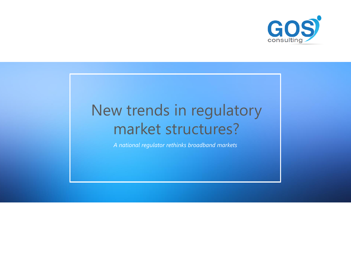*A national regulator rethinks broadband markets*



## New trends in regulatory market structures?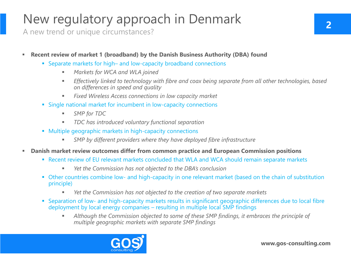- Separate markets for high– and low-capacity broadband connections
	- *Markets for WCA and WLA joined*
	- **Effectively linked to technology with fibre and coax being separate from all other technologies, based <b>I** *on differences in speed and quality*
	- Fixed Wireless Access connections in low capacity market
- Single national market for incumbent in low-capacity connections
	- *SMP for TDC*
	- *TDC has introduced voluntary functional separation*
- Multiple geographic markets in high-capacity connections
	- **EXTEMP by different providers where they have deployed fibre infrastructure**
- **<b>EXP** Danish market review outcomes differ from common practice and European Commission positions
	- Recent review of EU relevant markets concluded that WLA and WCA should remain separate markets
		- Yet the Commission has not objected to the DBA's conclusion
	- **Other countries combine low- and high-capacity in one relevant market (based on the chain of substitution** principle)
		- Yet the Commission has not objected to the creation of two separate markets
	- Separation of low- and high-capacity markets results in significant geographic differences due to local fibre deployment by local energy companies – resulting in multiple local SMP findings
		- Although the Commission objected to some of these SMP findings, it embraces the principle of *multiple geographic markets with separate SMP findings*



## New regulatory approach in Denmark

A new trend or unique circumstances?

## **Example 20 II also reads 1 asset 1 as a retain of Propelity (DBA) found Propelity (DBA)** found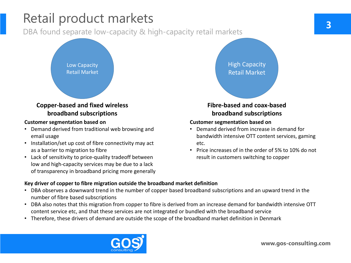# Retail product markets **3**

DBA found separate low-capacity & high-capacity retail markets

**www.gos-consulting.com**

Low Capacity Retail Market

High Capacity Retail Market

## **Copper-based and fixed wireless broadband subscriptions**

## **Fibre-based and coax-based broadband subscriptions**

### **Customer segmentation based on**

- Demand derived from traditional web browsing and email usage
- Installation/set up cost of fibre connectivity may act as a barrier to migration to fibre
- Lack of sensitivity to price-quality tradeoff between low and high-capacity services may be due to a lack of transparency in broadband pricing more generally

## **Customer segmentation based on**

• Demand derived from increase in demand for bandwidth intensive OTT content services, gaming

- etc.
- 

• Price increases of in the order of 5% to 10% do not result in customers switching to copper

## **Key driver of copper to fibre migration outside the broadband market definition**

- DBA observes a downward trend in the number of copper based broadband subscriptions and an upward trend in the number of fibre based subscriptions
- DBA also notes that this migration from copper to fibre is derived from an increase demand for bandwidth intensive OTT content service etc, and that these services are not integrated or bundled with the broadband service
- Therefore, these drivers of demand are outside the scope of the broadband market definition in Denmark

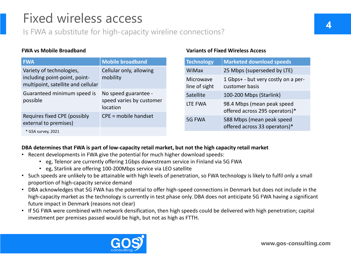## Fixed wireless access **4**

Is FWA a substitute for high-capacity wireline connections?

### **FWA vs Mobile Broadband Variants of Fixed Wireless Access**

### **DBA determines that FWA is part of low-capacity retail market, but not the high capacity retail market**

- Recent developments in FWA give the potential for much higher download speeds:
	- eg, Telenor are currently offering 1Gbps downstream service in Finland via 5G FWA
	- eg, Starlink are offering 100-200Mbps service via LEO satellite
- Such speeds are unlikely to be attainable with high levels of penetration, so FWA technology is likely to fulfil only a small proportion of high-capacity service demand
- DBA acknowledges that 5G FWA has the potential to offer high-speed connections in Denmark but does not include in the high-capacity market as the technology is currently in test phase only. DBA does not anticipate 5G FWA having a significant future impact in Denmark (reasons not clear)
- If 5G FWA were combined with network densification, then high speeds could be delivered with high penetration; capital investment per premises passed would be high, but not as high as FTTH.



| <b>FWA</b>                                                          | <b>Mobile broadband</b>                                             |  | Technology                 | <b>Marketed download speeds</b>                              |
|---------------------------------------------------------------------|---------------------------------------------------------------------|--|----------------------------|--------------------------------------------------------------|
| Variety of technologies,                                            | Cellular only, allowing<br>mobility                                 |  | <b>WiMax</b>               | 25 Mbps (superseded by LTE)                                  |
| including point-point, point-<br>multipoint, satellite and cellular |                                                                     |  | Microwave<br>line of sight | 1 Gbps+ - but very costly on a per-<br>customer basis        |
| Guaranteed minimum speed is<br>possible                             | No speed guarantee -<br>speed varies by customer<br><b>location</b> |  | <b>Satellite</b>           | 100-200 Mbps (Starlink)                                      |
|                                                                     |                                                                     |  | LTE FWA                    | 98.4 Mbps (mean peak speed<br>offered across 295 operators)* |
| <b>Requires fixed CPE (possibly</b><br>external to premises)        | CPE = mobile handset                                                |  | 5G FWA                     | 588 Mbps (mean peak speed<br>offered across 33 operators)*   |
| * GSA survey, 2021                                                  |                                                                     |  |                            |                                                              |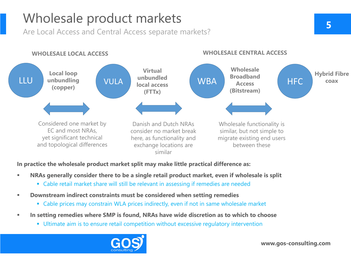## Wholesale product markets **5**

Are Local Access and Central Access separate markets?



## **In practice the wholesale product market split may make little practical difference as:**

- NRAs generally consider there to be a single retail product market, even if wholesale is split
	- **Examble retail market share will still be relevant in assessing if remedies are needed**
- **Downstream indirect constraints must be considered when setting remedies** 
	- Cable prices may constrain WLA prices indirectly, even if not in same wholesale market
- In setting remedies where SMP is found, NRAs have wide discretion as to which to choose
	- **Ultimate aim is to ensure retail competition without excessive regulatory intervention**

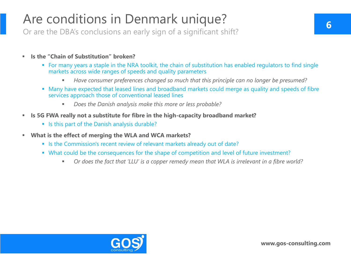- **Is the "Chain of Substitution" broken?**
	- For many years a staple in the NRA toolkit, the chain of substitution has enabled regulators to find single markets across wide ranges of speeds and quality parameters
		- Have consumer preferences changed so much that this principle can no longer be presumed?
	- Many have expected that leased lines and broadband markets could merge as quality and speeds of fibre services approach those of conventional leased lines
		- *Does the Danish analysis make this more or less probable?*
- **Examps 15 5G FWA really not a substitute for fibre in the high-capacity broadband market?** 
	- **Example 15 this part of the Danish analysis durable?**
- **What is the effect of merging the WLA and WCA markets?**
	- **Example 2 Is the Commission's recent review of relevant markets already out of date?**
	- What could be the consequences for the shape of competition and level of future investment?
		- Or does the fact that 'LLU' is a copper remedy mean that WLA is irrelevant in a fibre world?





## Are conditions in Denmark unique?

Or are the DBA's conclusions an early sign of a significant shift?